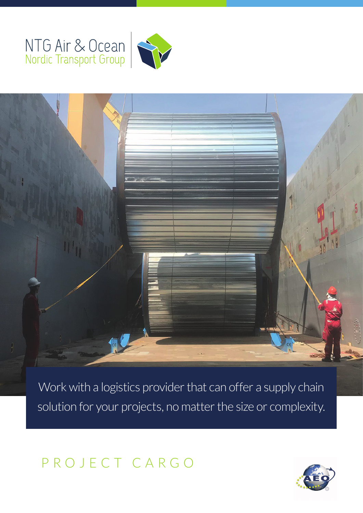# NTG Air & Ocean





Work with a logistics provider that can offer a supply chain solution for your projects, no matter the size or complexity.

PROJECT CARGO